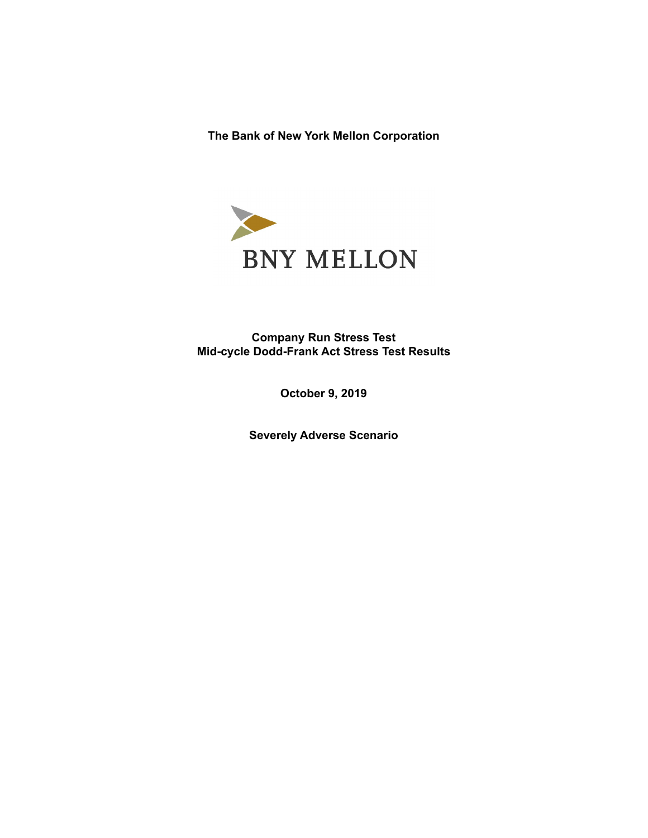**The Bank of New York Mellon Corporation**



**Company Run Stress Test Mid-cycle Dodd-Frank Act Stress Test Results**

**October 9, 2019**

**Severely Adverse Scenario**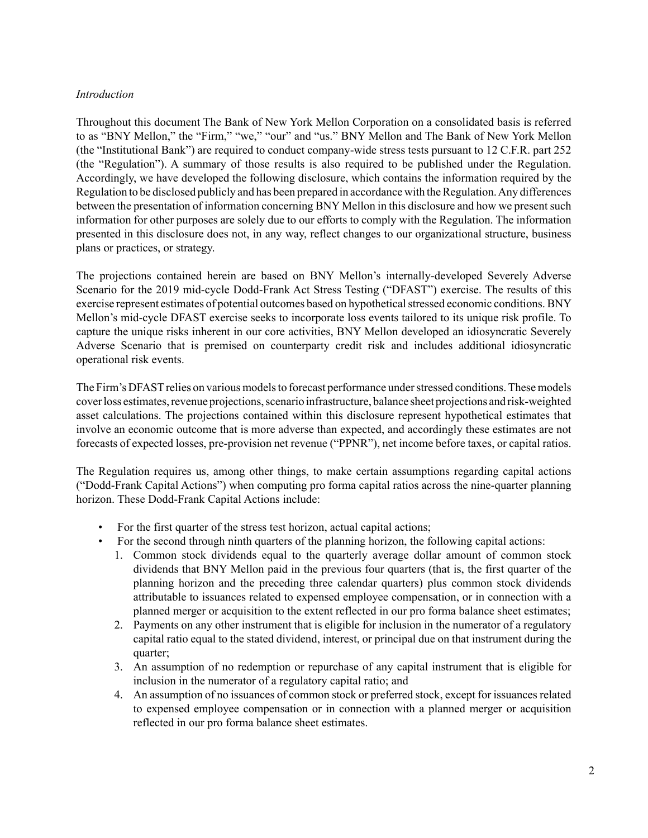### *Introduction*

Throughout this document The Bank of New York Mellon Corporation on a consolidated basis is referred to as "BNY Mellon," the "Firm," "we," "our" and "us." BNY Mellon and The Bank of New York Mellon (the "Institutional Bank") are required to conduct company-wide stress tests pursuant to 12 C.F.R. part 252 (the "Regulation"). A summary of those results is also required to be published under the Regulation. Accordingly, we have developed the following disclosure, which contains the information required by the Regulation to be disclosed publicly and has been prepared in accordance with the Regulation. Any differences between the presentation of information concerning BNY Mellon in this disclosure and how we present such information for other purposes are solely due to our efforts to comply with the Regulation. The information presented in this disclosure does not, in any way, reflect changes to our organizational structure, business plans or practices, or strategy.

The projections contained herein are based on BNY Mellon's internally-developed Severely Adverse Scenario for the 2019 mid-cycle Dodd-Frank Act Stress Testing ("DFAST") exercise. The results of this exercise represent estimates of potential outcomes based on hypothetical stressed economic conditions. BNY Mellon's mid-cycle DFAST exercise seeks to incorporate loss events tailored to its unique risk profile. To capture the unique risks inherent in our core activities, BNY Mellon developed an idiosyncratic Severely Adverse Scenario that is premised on counterparty credit risk and includes additional idiosyncratic operational risk events.

The Firm's DFAST relies on various models to forecast performance under stressed conditions. These models cover loss estimates, revenue projections, scenario infrastructure, balance sheet projections and risk-weighted asset calculations. The projections contained within this disclosure represent hypothetical estimates that involve an economic outcome that is more adverse than expected, and accordingly these estimates are not forecasts of expected losses, pre-provision net revenue ("PPNR"), net income before taxes, or capital ratios.

The Regulation requires us, among other things, to make certain assumptions regarding capital actions ("Dodd-Frank Capital Actions") when computing pro forma capital ratios across the nine-quarter planning horizon. These Dodd-Frank Capital Actions include:

- For the first quarter of the stress test horizon, actual capital actions;
- For the second through ninth quarters of the planning horizon, the following capital actions:
	- 1. Common stock dividends equal to the quarterly average dollar amount of common stock dividends that BNY Mellon paid in the previous four quarters (that is, the first quarter of the planning horizon and the preceding three calendar quarters) plus common stock dividends attributable to issuances related to expensed employee compensation, or in connection with a planned merger or acquisition to the extent reflected in our pro forma balance sheet estimates;
	- 2. Payments on any other instrument that is eligible for inclusion in the numerator of a regulatory capital ratio equal to the stated dividend, interest, or principal due on that instrument during the quarter;
	- 3. An assumption of no redemption or repurchase of any capital instrument that is eligible for inclusion in the numerator of a regulatory capital ratio; and
	- 4. An assumption of no issuances of common stock or preferred stock, except for issuances related to expensed employee compensation or in connection with a planned merger or acquisition reflected in our pro forma balance sheet estimates.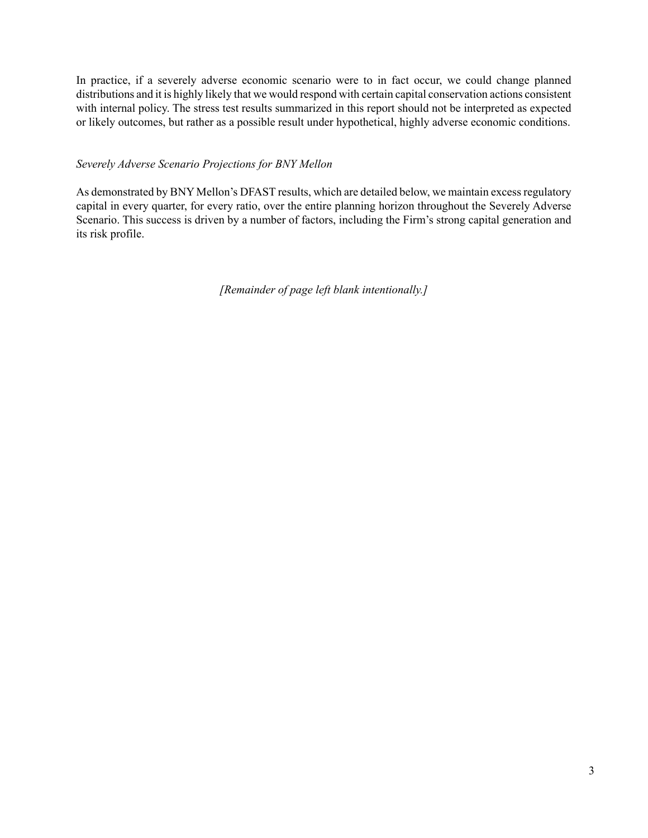In practice, if a severely adverse economic scenario were to in fact occur, we could change planned distributions and it is highly likely that we would respond with certain capital conservation actions consistent with internal policy. The stress test results summarized in this report should not be interpreted as expected or likely outcomes, but rather as a possible result under hypothetical, highly adverse economic conditions.

# *Severely Adverse Scenario Projections for BNY Mellon*

As demonstrated by BNY Mellon's DFAST results, which are detailed below, we maintain excess regulatory capital in every quarter, for every ratio, over the entire planning horizon throughout the Severely Adverse Scenario. This success is driven by a number of factors, including the Firm's strong capital generation and its risk profile.

*[Remainder of page left blank intentionally.]*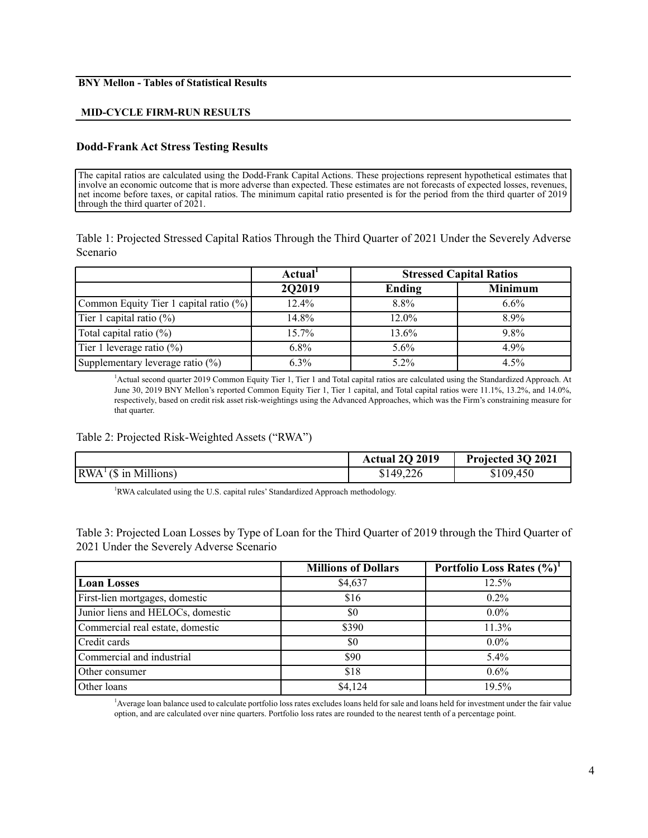#### **BNY Mellon - Tables of Statistical Results**

#### **MID-CYCLE FIRM-RUN RESULTS**

#### **Dodd-Frank Act Stress Testing Results**

The capital ratios are calculated using the Dodd-Frank Capital Actions. These projections represent hypothetical estimates that involve an economic outcome that is more adverse than expected. These estimates are not forecasts of expected losses, revenues, net income before taxes, or capital ratios. The minimum capital ratio presented is for the period from the third quarter of 2019 through the third quarter of 2021.

Table 1: Projected Stressed Capital Ratios Through the Third Quarter of 2021 Under the Severely Adverse Scenario

|                                        | Actual <sup>1</sup> | <b>Stressed Capital Ratios</b> |                |
|----------------------------------------|---------------------|--------------------------------|----------------|
|                                        | 2Q2019              | Ending                         | <b>Minimum</b> |
| Common Equity Tier 1 capital ratio (%) | 12.4%               | $8.8\%$                        | 6.6%           |
| Tier 1 capital ratio $(\%)$            | 14.8%               | $12.0\%$                       | $8.9\%$        |
| Total capital ratio $(\%)$             | $15.7\%$            | 13.6%                          | $9.8\%$        |
| Tier 1 leverage ratio $(\%)$           | $6.8\%$             | $5.6\%$                        | $4.9\%$        |
| Supplementary leverage ratio (%)       | $6.3\%$             | $5.2\%$                        | 4.5%           |

<sup>1</sup>Actual second quarter 2019 Common Equity Tier 1, Tier 1 and Total capital ratios are calculated using the Standardized Approach. At June 30, 2019 BNY Mellon's reported Common Equity Tier 1, Tier 1 capital, and Total capital ratios were 11.1%, 13.2%, and 14.0%, respectively, based on credit risk asset risk-weightings using the Advanced Approaches, which was the Firm's constraining measure for that quarter.

#### Table 2: Projected Risk-Weighted Assets ("RWA")

|                                     | Actual 2Q 2019 | Projected 3Q 2021 |
|-------------------------------------|----------------|-------------------|
| $\vert RWA^{\perp}(\$$ in Millions) | \$149,226      | \$109,450         |

<sup>1</sup>RWA calculated using the U.S. capital rules' Standardized Approach methodology.

Table 3: Projected Loan Losses by Type of Loan for the Third Quarter of 2019 through the Third Quarter of 2021 Under the Severely Adverse Scenario

|                                   | <b>Millions of Dollars</b> | Portfolio Loss Rates (%) |
|-----------------------------------|----------------------------|--------------------------|
| <b>Loan Losses</b>                | \$4,637                    | 12.5%                    |
| First-lien mortgages, domestic    | \$16                       | $0.2\%$                  |
| Junior liens and HELOCs, domestic | \$0                        | $0.0\%$                  |
| Commercial real estate, domestic  | \$390                      | 11.3%                    |
| Credit cards                      | \$0                        | $0.0\%$                  |
| Commercial and industrial         | \$90                       | $5.4\%$                  |
| Other consumer                    | \$18                       | $0.6\%$                  |
| Other loans                       | \$4,124                    | 19.5%                    |

<sup>1</sup>Average loan balance used to calculate portfolio loss rates excludes loans held for sale and loans held for investment under the fair value option, and are calculated over nine quarters. Portfolio loss rates are rounded to the nearest tenth of a percentage point.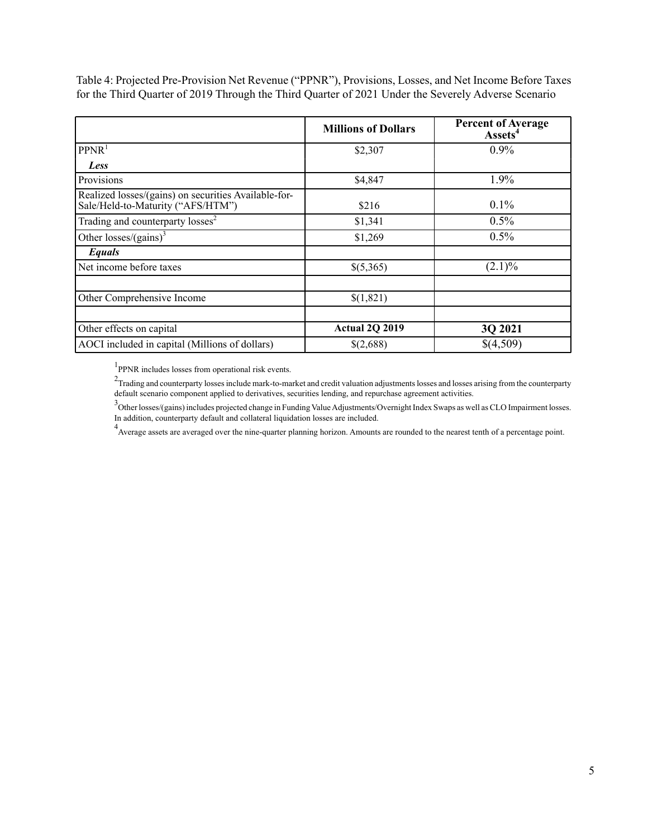Table 4: Projected Pre-Provision Net Revenue ("PPNR"), Provisions, Losses, and Net Income Before Taxes for the Third Quarter of 2019 Through the Third Quarter of 2021 Under the Severely Adverse Scenario

|                                                                                           | <b>Millions of Dollars</b> | <b>Percent of Average</b><br>Assets <sup>4</sup> |
|-------------------------------------------------------------------------------------------|----------------------------|--------------------------------------------------|
| PPNR <sup>1</sup>                                                                         | \$2,307                    | $0.9\%$                                          |
| Less                                                                                      |                            |                                                  |
| Provisions                                                                                | \$4,847                    | 1.9%                                             |
| Realized losses/(gains) on securities Available-for-<br>Sale/Held-to-Maturity ("AFS/HTM") | \$216                      | $0.1\%$                                          |
| Trading and counterparty losses <sup>2</sup>                                              | \$1,341                    | 0.5%                                             |
| Other losses/(gains) <sup>3</sup>                                                         | \$1,269                    | 0.5%                                             |
| Equals                                                                                    |                            |                                                  |
| Net income before taxes                                                                   | \$(5,365)                  | $(2.1)\%$                                        |
|                                                                                           |                            |                                                  |
| Other Comprehensive Income                                                                | \$(1,821)                  |                                                  |
|                                                                                           |                            |                                                  |
| Other effects on capital                                                                  | Actual 2Q 2019             | 3Q 2021                                          |
| AOCI included in capital (Millions of dollars)                                            | \$(2,688)                  | \$(4,509)                                        |

<sup>1</sup>PPNR includes losses from operational risk events.

 $2$ Trading and counterparty losses include mark-to-market and credit valuation adjustments losses and losses arising from the counterparty default scenario component applied to derivatives, securities lending, and repurchase agreement activities.

3<br>Other losses/(gains) includes projected change in Funding Value Adjustments/Overnight Index Swaps as well as CLO Impairment losses. In addition, counterparty default and collateral liquidation losses are included.

<sup>4</sup> Average assets are averaged over the nine-quarter planning horizon. Amounts are rounded to the nearest tenth of a percentage point.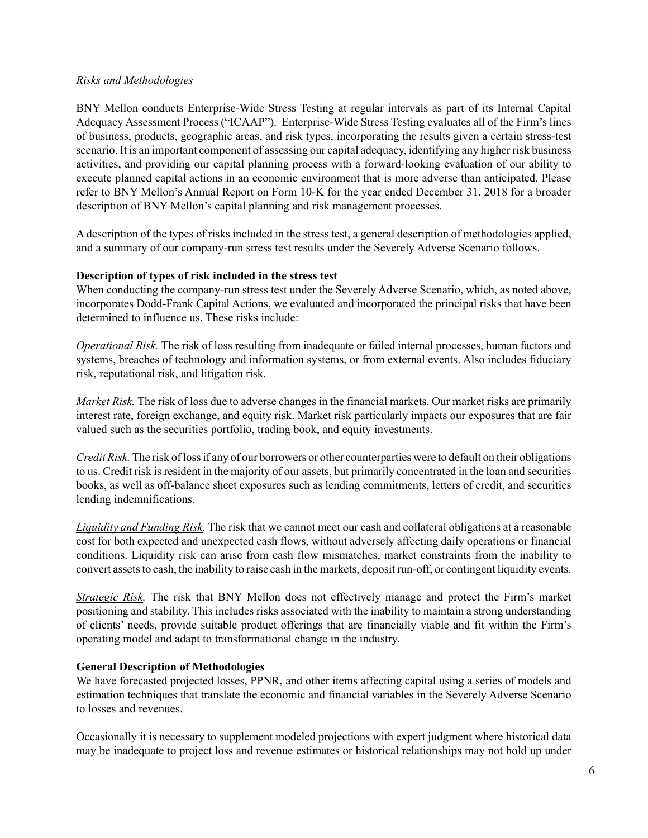### *Risks and Methodologies*

BNY Mellon conducts Enterprise-Wide Stress Testing at regular intervals as part of its Internal Capital Adequacy Assessment Process ("ICAAP"). Enterprise-Wide Stress Testing evaluates all of the Firm's lines of business, products, geographic areas, and risk types, incorporating the results given a certain stress-test scenario. It is an important component of assessing our capital adequacy, identifying any higher risk business activities, and providing our capital planning process with a forward-looking evaluation of our ability to execute planned capital actions in an economic environment that is more adverse than anticipated. Please refer to BNY Mellon's Annual Report on Form 10-K for the year ended December 31, 2018 for a broader description of BNY Mellon's capital planning and risk management processes.

A description of the types of risks included in the stress test, a general description of methodologies applied, and a summary of our company-run stress test results under the Severely Adverse Scenario follows.

# **Description of types of risk included in the stress test**

When conducting the company-run stress test under the Severely Adverse Scenario, which, as noted above, incorporates Dodd-Frank Capital Actions, we evaluated and incorporated the principal risks that have been determined to influence us. These risks include:

*Operational Risk.* The risk of loss resulting from inadequate or failed internal processes, human factors and systems, breaches of technology and information systems, or from external events. Also includes fiduciary risk, reputational risk, and litigation risk.

*Market Risk.* The risk of loss due to adverse changes in the financial markets. Our market risks are primarily interest rate, foreign exchange, and equity risk. Market risk particularly impacts our exposures that are fair valued such as the securities portfolio, trading book, and equity investments.

*Credit Risk.* The risk of loss if any of our borrowers or other counterparties were to default on their obligations to us. Credit risk is resident in the majority of our assets, but primarily concentrated in the loan and securities books, as well as off-balance sheet exposures such as lending commitments, letters of credit, and securities lending indemnifications.

*Liquidity and Funding Risk.* The risk that we cannot meet our cash and collateral obligations at a reasonable cost for both expected and unexpected cash flows, without adversely affecting daily operations or financial conditions. Liquidity risk can arise from cash flow mismatches, market constraints from the inability to convert assets to cash, the inability to raise cash in the markets, deposit run-off, or contingent liquidity events.

*Strategic Risk.* The risk that BNY Mellon does not effectively manage and protect the Firm's market positioning and stability. This includes risks associated with the inability to maintain a strong understanding of clients' needs, provide suitable product offerings that are financially viable and fit within the Firm's operating model and adapt to transformational change in the industry.

### **General Description of Methodologies**

We have forecasted projected losses, PPNR, and other items affecting capital using a series of models and estimation techniques that translate the economic and financial variables in the Severely Adverse Scenario to losses and revenues.

Occasionally it is necessary to supplement modeled projections with expert judgment where historical data may be inadequate to project loss and revenue estimates or historical relationships may not hold up under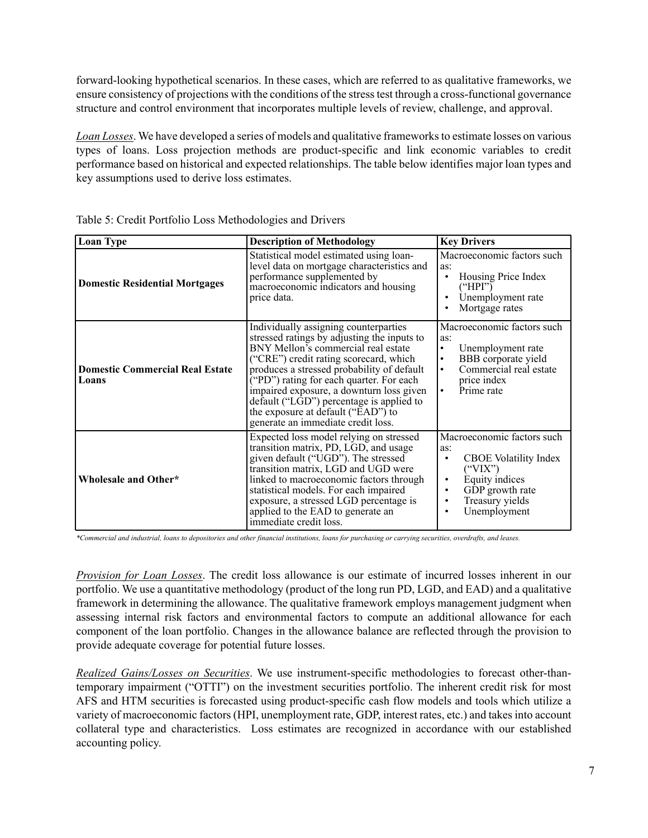forward-looking hypothetical scenarios. In these cases, which are referred to as qualitative frameworks, we ensure consistency of projections with the conditions of the stress test through a cross-functional governance structure and control environment that incorporates multiple levels of review, challenge, and approval.

*Loan Losses*. We have developed a series of models and qualitative frameworks to estimate losses on various types of loans. Loss projection methods are product-specific and link economic variables to credit performance based on historical and expected relationships. The table below identifies major loan types and key assumptions used to derive loss estimates.

| <b>Loan Type</b>                                | <b>Description of Methodology</b>                                                                                                                                                                                                                                                                                                                                                                                                                      | <b>Key Drivers</b>                                                                                                                                                                                            |
|-------------------------------------------------|--------------------------------------------------------------------------------------------------------------------------------------------------------------------------------------------------------------------------------------------------------------------------------------------------------------------------------------------------------------------------------------------------------------------------------------------------------|---------------------------------------------------------------------------------------------------------------------------------------------------------------------------------------------------------------|
| <b>Domestic Residential Mortgages</b>           | Statistical model estimated using loan-<br>level data on mortgage characteristics and<br>performance supplemented by<br>macroeconomic indicators and housing<br>price data.                                                                                                                                                                                                                                                                            | Macroeconomic factors such<br>as:<br>Housing Price Index<br>("HPI")<br>Unemployment rate<br>Mortgage rates                                                                                                    |
| <b>Domestic Commercial Real Estate</b><br>Loans | Individually assigning counterparties<br>stressed ratings by adjusting the inputs to<br>BNY Mellon's commercial real estate<br>("CRE") credit rating scorecard, which<br>produces a stressed probability of default<br>$(Y^{\prime}PD^{\prime})$ rating for each quarter. For each<br>impaired exposure, a downturn loss given<br>default ("LGD") percentage is applied to<br>the exposure at default ("EAD") to<br>generate an immediate credit loss. | Macroeconomic factors such<br>as:<br>Unemployment rate<br>$\bullet$<br>BBB corporate yield<br>$\bullet$<br>Commercial real estate<br>$\bullet$<br>price index<br>Prime rate<br>$\bullet$                      |
| Wholesale and Other*                            | Expected loss model relying on stressed<br>transition matrix, PD, LGD, and usage<br>given default ("UGD"). The stressed<br>transition matrix, LGD and UGD were<br>linked to macroeconomic factors through<br>statistical models. For each impaired<br>exposure, a stressed LGD percentage is<br>applied to the EAD to generate an<br>immediate credit loss.                                                                                            | Macroeconomic factors such<br>as:<br><b>CBOE</b> Volatility Index<br>$\bullet$<br>("VIX")<br>Equity indices<br>$\bullet$<br>GDP growth rate<br>$\bullet$<br>Treasury yields<br>$\bullet$<br>Unemployment<br>٠ |

| Table 5: Credit Portfolio Loss Methodologies and Drivers |
|----------------------------------------------------------|
|----------------------------------------------------------|

*\*Commercial and industrial, loans to depositories and other financial institutions, loans for purchasing or carrying securities, overdrafts, and leases.*

*Provision for Loan Losses*. The credit loss allowance is our estimate of incurred losses inherent in our portfolio. We use a quantitative methodology (product of the long run PD, LGD, and EAD) and a qualitative framework in determining the allowance. The qualitative framework employs management judgment when assessing internal risk factors and environmental factors to compute an additional allowance for each component of the loan portfolio. Changes in the allowance balance are reflected through the provision to provide adequate coverage for potential future losses.

*Realized Gains/Losses on Securities*. We use instrument-specific methodologies to forecast other-thantemporary impairment ("OTTI") on the investment securities portfolio. The inherent credit risk for most AFS and HTM securities is forecasted using product-specific cash flow models and tools which utilize a variety of macroeconomic factors (HPI, unemployment rate, GDP, interest rates, etc.) and takes into account collateral type and characteristics. Loss estimates are recognized in accordance with our established accounting policy.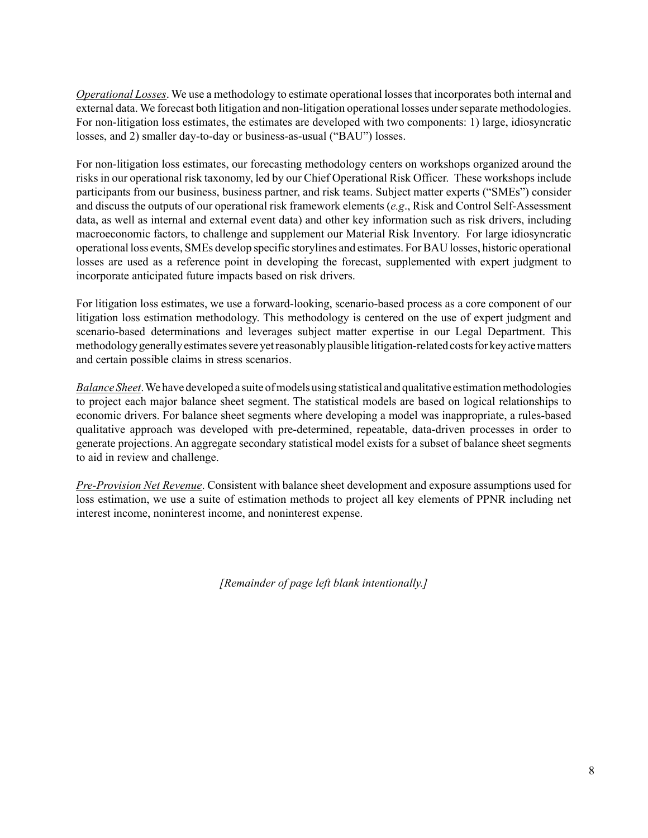*Operational Losses*. We use a methodology to estimate operational losses that incorporates both internal and external data. We forecast both litigation and non-litigation operational losses under separate methodologies. For non-litigation loss estimates, the estimates are developed with two components: 1) large, idiosyncratic losses, and 2) smaller day-to-day or business-as-usual ("BAU") losses.

For non-litigation loss estimates, our forecasting methodology centers on workshops organized around the risks in our operational risk taxonomy, led by our Chief Operational Risk Officer. These workshops include participants from our business, business partner, and risk teams. Subject matter experts ("SMEs") consider and discuss the outputs of our operational risk framework elements (*e.g*., Risk and Control Self-Assessment data, as well as internal and external event data) and other key information such as risk drivers, including macroeconomic factors, to challenge and supplement our Material Risk Inventory. For large idiosyncratic operational loss events, SMEs develop specific storylines and estimates. For BAU losses, historic operational losses are used as a reference point in developing the forecast, supplemented with expert judgment to incorporate anticipated future impacts based on risk drivers.

For litigation loss estimates, we use a forward-looking, scenario-based process as a core component of our litigation loss estimation methodology. This methodology is centered on the use of expert judgment and scenario-based determinations and leverages subject matter expertise in our Legal Department. This methodology generally estimates severe yet reasonably plausible litigation-related costs for key active matters and certain possible claims in stress scenarios.

*Balance Sheet*. We have developed a suite of models using statistical and qualitative estimation methodologies to project each major balance sheet segment. The statistical models are based on logical relationships to economic drivers. For balance sheet segments where developing a model was inappropriate, a rules-based qualitative approach was developed with pre-determined, repeatable, data-driven processes in order to generate projections. An aggregate secondary statistical model exists for a subset of balance sheet segments to aid in review and challenge.

*Pre-Provision Net Revenue*. Consistent with balance sheet development and exposure assumptions used for loss estimation, we use a suite of estimation methods to project all key elements of PPNR including net interest income, noninterest income, and noninterest expense.

*[Remainder of page left blank intentionally.]*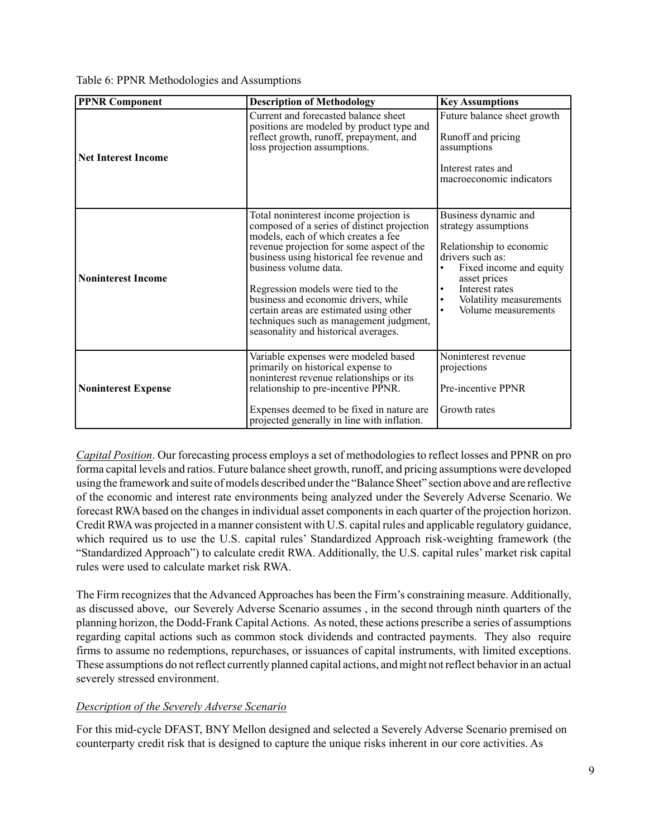Table 6: PPNR Methodologies and Assumptions

| <b>PPNR Component</b>      | <b>Description of Methodology</b>                                                                                                                                                                                                                                                                                                                                                                                                                           | <b>Key Assumptions</b>                                                                                                                                                                                                                     |
|----------------------------|-------------------------------------------------------------------------------------------------------------------------------------------------------------------------------------------------------------------------------------------------------------------------------------------------------------------------------------------------------------------------------------------------------------------------------------------------------------|--------------------------------------------------------------------------------------------------------------------------------------------------------------------------------------------------------------------------------------------|
| <b>Net Interest Income</b> | Current and forecasted balance sheet<br>positions are modeled by product type and<br>reflect growth, runoff, prepayment, and<br>loss projection assumptions.                                                                                                                                                                                                                                                                                                | Future balance sheet growth<br>Runoff and pricing<br>assumptions<br>Interest rates and<br>macroeconomic indicators                                                                                                                         |
| <b>Noninterest Income</b>  | Total noninterest income projection is<br>composed of a series of distinct projection<br>models, each of which creates a fee<br>revenue projection for some aspect of the<br>business using historical fee revenue and<br>business volume data.<br>Regression models were tied to the<br>business and economic drivers, while<br>certain areas are estimated using other<br>techniques such as management judgment,<br>seasonality and historical averages. | Business dynamic and<br>strategy assumptions<br>Relationship to economic<br>drivers such as:<br>Fixed income and equity<br>asset prices<br>Interest rates<br>$\bullet$<br>Volatility measurements<br>٠<br>Volume measurements<br>$\bullet$ |
| <b>Noninterest Expense</b> | Variable expenses were modeled based<br>primarily on historical expense to<br>noninterest revenue relationships or its<br>relationship to pre-incentive PPNR.<br>Expenses deemed to be fixed in nature are<br>projected generally in line with inflation.                                                                                                                                                                                                   | Noninterest revenue<br>projections<br>Pre-incentive PPNR<br>Growth rates                                                                                                                                                                   |

*Capital Position*. Our forecasting process employs a set of methodologies to reflect losses and PPNR on pro forma capital levels and ratios. Future balance sheet growth, runoff, and pricing assumptions were developed using the framework and suite of models described under the "Balance Sheet" section above and are reflective of the economic and interest rate environments being analyzed under the Severely Adverse Scenario. We forecast RWAbased on the changes in individual asset components in each quarter of the projection horizon. Credit RWAwas projected in a manner consistent with U.S. capital rules and applicable regulatory guidance, which required us to use the U.S. capital rules' Standardized Approach risk-weighting framework (the "Standardized Approach") to calculate credit RWA. Additionally, the U.S. capital rules' market risk capital rules were used to calculate market risk RWA.

The Firm recognizes that the Advanced Approaches has been the Firm's constraining measure. Additionally, as discussed above, our Severely Adverse Scenario assumes , in the second through ninth quarters of the planning horizon, the Dodd-Frank Capital Actions. As noted, these actions prescribe a series of assumptions regarding capital actions such as common stock dividends and contracted payments. They also require firms to assume no redemptions, repurchases, or issuances of capital instruments, with limited exceptions. These assumptions do not reflect currently planned capital actions, and might not reflect behavior in an actual severely stressed environment.

### *Description of the Severely Adverse Scenario*

For this mid-cycle DFAST, BNY Mellon designed and selected a Severely Adverse Scenario premised on counterparty credit risk that is designed to capture the unique risks inherent in our core activities. As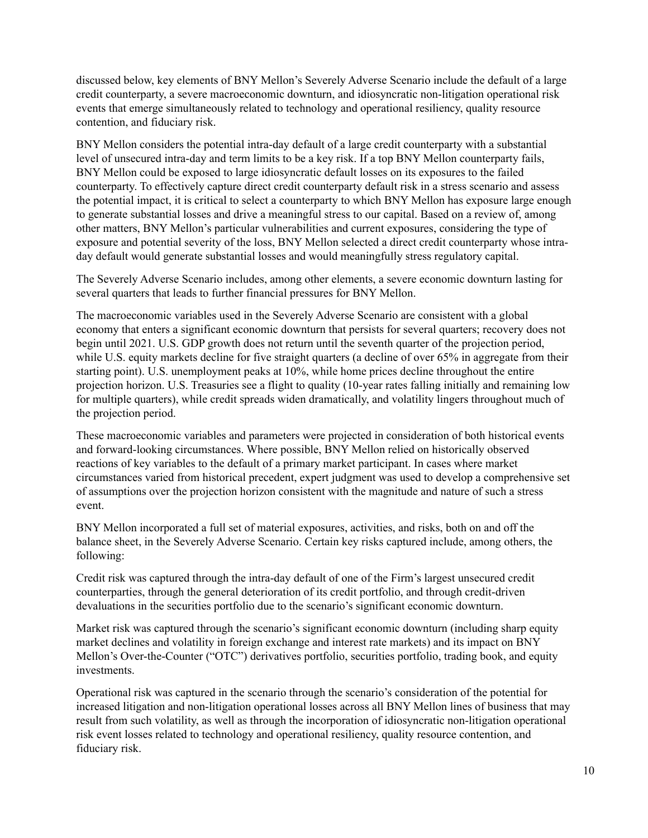discussed below, key elements of BNY Mellon's Severely Adverse Scenario include the default of a large credit counterparty, a severe macroeconomic downturn, and idiosyncratic non-litigation operational risk events that emerge simultaneously related to technology and operational resiliency, quality resource contention, and fiduciary risk.

BNY Mellon considers the potential intra-day default of a large credit counterparty with a substantial level of unsecured intra-day and term limits to be a key risk. If a top BNY Mellon counterparty fails, BNY Mellon could be exposed to large idiosyncratic default losses on its exposures to the failed counterparty. To effectively capture direct credit counterparty default risk in a stress scenario and assess the potential impact, it is critical to select a counterparty to which BNY Mellon has exposure large enough to generate substantial losses and drive a meaningful stress to our capital. Based on a review of, among other matters, BNY Mellon's particular vulnerabilities and current exposures, considering the type of exposure and potential severity of the loss, BNY Mellon selected a direct credit counterparty whose intraday default would generate substantial losses and would meaningfully stress regulatory capital.

The Severely Adverse Scenario includes, among other elements, a severe economic downturn lasting for several quarters that leads to further financial pressures for BNY Mellon.

The macroeconomic variables used in the Severely Adverse Scenario are consistent with a global economy that enters a significant economic downturn that persists for several quarters; recovery does not begin until 2021. U.S. GDP growth does not return until the seventh quarter of the projection period, while U.S. equity markets decline for five straight quarters (a decline of over 65% in aggregate from their starting point). U.S. unemployment peaks at 10%, while home prices decline throughout the entire projection horizon. U.S. Treasuries see a flight to quality (10-year rates falling initially and remaining low for multiple quarters), while credit spreads widen dramatically, and volatility lingers throughout much of the projection period.

These macroeconomic variables and parameters were projected in consideration of both historical events and forward-looking circumstances. Where possible, BNY Mellon relied on historically observed reactions of key variables to the default of a primary market participant. In cases where market circumstances varied from historical precedent, expert judgment was used to develop a comprehensive set of assumptions over the projection horizon consistent with the magnitude and nature of such a stress event.

BNY Mellon incorporated a full set of material exposures, activities, and risks, both on and off the balance sheet, in the Severely Adverse Scenario. Certain key risks captured include, among others, the following:

Credit risk was captured through the intra-day default of one of the Firm's largest unsecured credit counterparties, through the general deterioration of its credit portfolio, and through credit-driven devaluations in the securities portfolio due to the scenario's significant economic downturn.

Market risk was captured through the scenario's significant economic downturn (including sharp equity market declines and volatility in foreign exchange and interest rate markets) and its impact on BNY Mellon's Over-the-Counter ("OTC") derivatives portfolio, securities portfolio, trading book, and equity investments.

Operational risk was captured in the scenario through the scenario's consideration of the potential for increased litigation and non-litigation operational losses across all BNY Mellon lines of business that may result from such volatility, as well as through the incorporation of idiosyncratic non-litigation operational risk event losses related to technology and operational resiliency, quality resource contention, and fiduciary risk.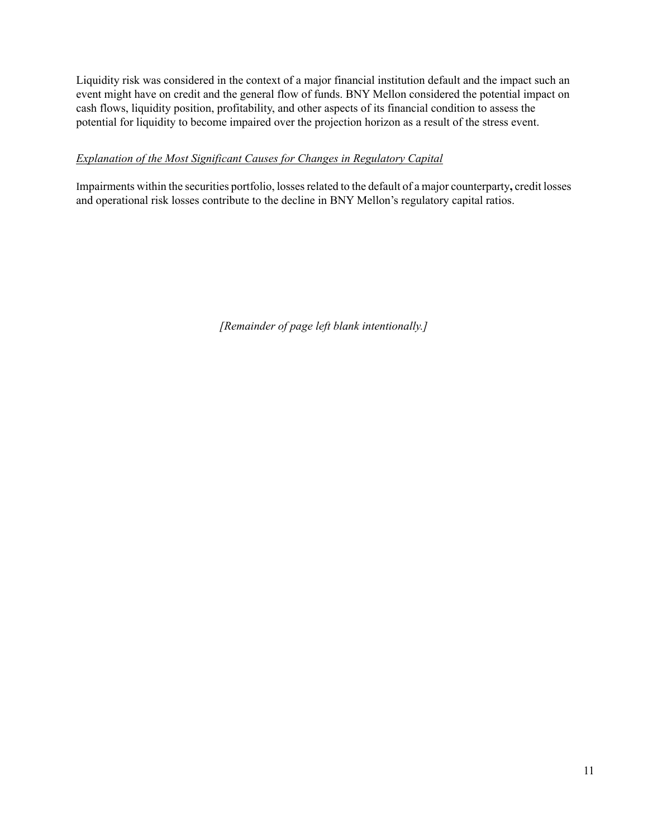Liquidity risk was considered in the context of a major financial institution default and the impact such an event might have on credit and the general flow of funds. BNY Mellon considered the potential impact on cash flows, liquidity position, profitability, and other aspects of its financial condition to assess the potential for liquidity to become impaired over the projection horizon as a result of the stress event.

# *Explanation of the Most Significant Causes for Changes in Regulatory Capital*

Impairments within the securities portfolio, losses related to the default of a major counterparty**,** credit losses and operational risk losses contribute to the decline in BNY Mellon's regulatory capital ratios.

*[Remainder of page left blank intentionally.]*